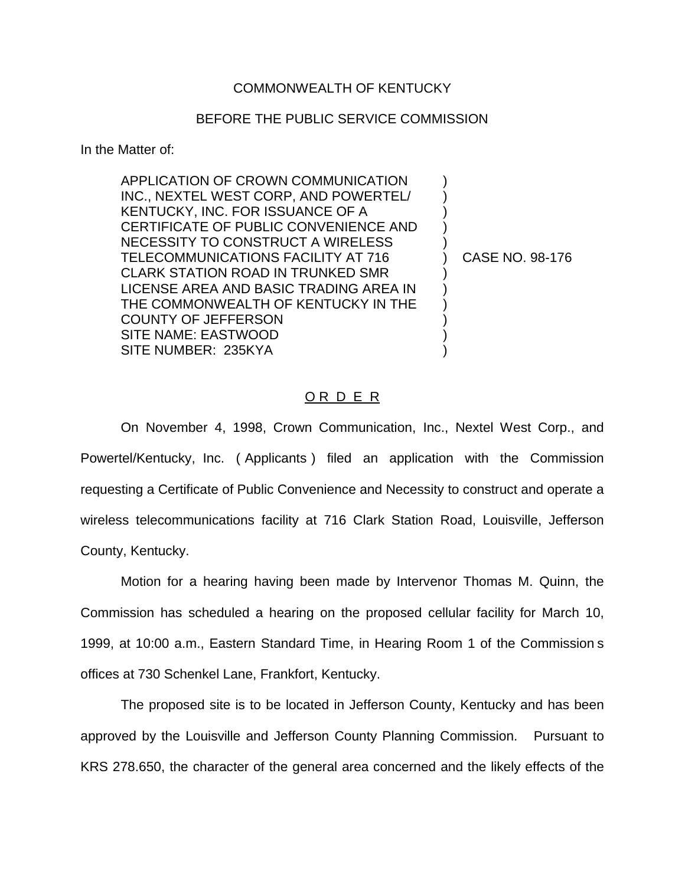## COMMONWEALTH OF KENTUCKY

## BEFORE THE PUBLIC SERVICE COMMISSION

In the Matter of:

APPLICATION OF CROWN COMMUNICATION ) INC., NEXTEL WEST CORP, AND POWERTEL/ ) KENTUCKY, INC. FOR ISSUANCE OF A ) CERTIFICATE OF PUBLIC CONVENIENCE AND ) NECESSITY TO CONSTRUCT A WIRELESS ) TELECOMMUNICATIONS FACILITY AT 716 (CASE NO. 98-176) CLARK STATION ROAD IN TRUNKED SMR ) LICENSE AREA AND BASIC TRADING AREA IN ) THE COMMONWEALTH OF KENTUCKY IN THE  $\qquad$  ) COUNTY OF JEFFERSON ) SITE NAME: EASTWOOD ) SITE NUMBER: 235KYA

O R D E R

On November 4, 1998, Crown Communication, Inc., Nextel West Corp., and Powertel/Kentucky, Inc. ( Applicants ) filed an application with the Commission requesting a Certificate of Public Convenience and Necessity to construct and operate a wireless telecommunications facility at 716 Clark Station Road, Louisville, Jefferson County, Kentucky.

Motion for a hearing having been made by Intervenor Thomas M. Quinn, the Commission has scheduled a hearing on the proposed cellular facility for March 10, 1999, at 10:00 a.m., Eastern Standard Time, in Hearing Room 1 of the Commission s offices at 730 Schenkel Lane, Frankfort, Kentucky.

The proposed site is to be located in Jefferson County, Kentucky and has been approved by the Louisville and Jefferson County Planning Commission. Pursuant to KRS 278.650, the character of the general area concerned and the likely effects of the